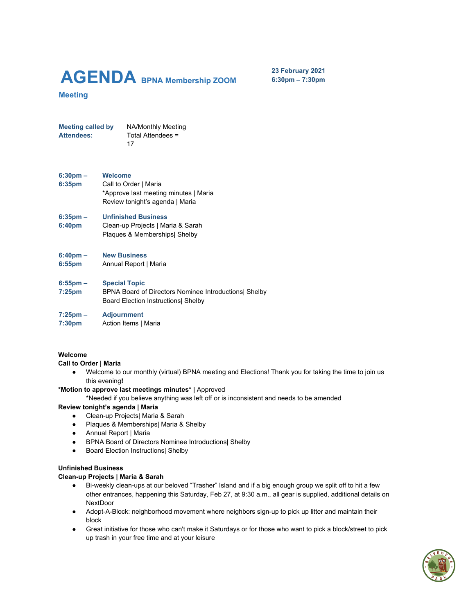# **AGENDA BPNA Membership ZOOM**

**23 February 2021 6:30pm – 7:30pm**

# **Meeting**

**Meeting called by** NA/Monthly Meeting Attendees: Total Attendees = 17

#### **6:30pm – Welcome**

**6:35pm** Call to Order | Maria \*Approve last meeting minutes | Maria Review tonight's agenda | Maria

#### **6:35pm – Unfinished Business**

**6:40pm** Clean-up Projects | Maria & Sarah Plaques & Memberships| Shelby

#### **6:40pm – New Business**

**6:55pm** Annual Report | Maria

#### **6:55pm – Special Topic**

- **7:25pm** BPNA Board of Directors Nominee Introductions| Shelby Board Election Instructions| Shelby
- **7:25pm – Adjournment**
- **7:30pm** Action Items | Maria

#### **Welcome**

**Call to Order | Maria**

**●** Welcome to our monthly (virtual) BPNA meeting and Elections! Thank you for taking the time to join us this evening**!**

# **\*Motion to approve last meetings minutes\* |** Approved

\*Needed if you believe anything was left off or is inconsistent and needs to be amended

#### **Review tonight's agenda | Maria**

- Clean-up Projects| Maria & Sarah
- Plaques & Memberships| Maria & Shelby
- Annual Report | Maria
- BPNA Board of Directors Nominee Introductions| Shelby
- Board Election Instructions| Shelby

#### **Unfinished Business**

#### **Clean-up Projects | Maria & Sarah**

- Bi-weekly clean-ups at our beloved "Trasher" Island and if a big enough group we split off to hit a few other entrances, happening this Saturday, Feb 27, at 9:30 a.m., all gear is supplied, additional details on **NextDoor**
- Adopt-A-Block: neighborhood movement where neighbors sign-up to pick up litter and maintain their block
- Great initiative for those who can't make it Saturdays or for those who want to pick a block/street to pick up trash in your free time and at your leisure

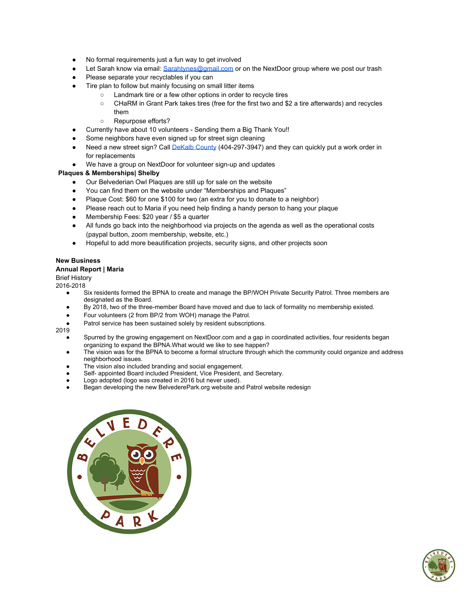- No formal requirements just a fun way to get involved
- Let Sarah know via email: [Sarahtynes@gmail.com](mailto:Saratynes@gmail.com) or on the NextDoor group where we post our trash
- Please separate your recyclables if you can
- Tire plan to follow but mainly focusing on small litter items
	- Landmark tire or a few other options in order to recycle tires
	- CHaRM in Grant Park takes tires (free for the first two and \$2 a tire afterwards) and recycles them
	- Repurpose efforts?
- Currently have about 10 volunteers Sending them a Big Thank You!!
- Some neighbors have even signed up for street sign cleaning
- Need a new street sign? Call [DeKalb](https://www.dekalbcountyga.gov/transportation/new-traffic-signals-and-stop-signs) County (404-297-3947) and they can quickly put a work order in for replacements
- We have a group on NextDoor for volunteer sign-up and updates

# **Plaques & Memberships| Shelby**

- Our Belvederian Owl Plaques are still up for sale on the website
- You can find them on the website under "Memberships and Plaques"
- Plaque Cost: \$60 for one \$100 for two (an extra for you to donate to a neighbor)
- Please reach out to Maria if you need help finding a handy person to hang your plaque
- Membership Fees: \$20 year / \$5 a quarter
- All funds go back into the neighborhood via projects on the agenda as well as the operational costs (paypal button, zoom membership, website, etc.)
- Hopeful to add more beautification projects, security signs, and other projects soon

# **New Business**

# **Annual Report | Maria**

Brief History

2016-2018

- Six residents formed the BPNA to create and manage the BP/WOH Private Security Patrol. Three members are designated as the Board.
- By 2018, two of the three-member Board have moved and due to lack of formality no membership existed.
- Four volunteers (2 from BP/2 from WOH) manage the Patrol.
- Patrol service has been sustained solely by resident subscriptions.

2019

- Spurred by the growing engagement on NextDoor.com and a gap in coordinated activities, four residents began organizing to expand the BPNA.What would we like to see happen?
- The vision was for the BPNA to become a formal structure through which the community could organize and address neighborhood issues.
- The vision also included branding and social engagement.
- Self- appointed Board included President, Vice President, and Secretary.
- Logo adopted (logo was created in 2016 but never used).
- Began developing the new BelvederePark.org website and Patrol website redesign



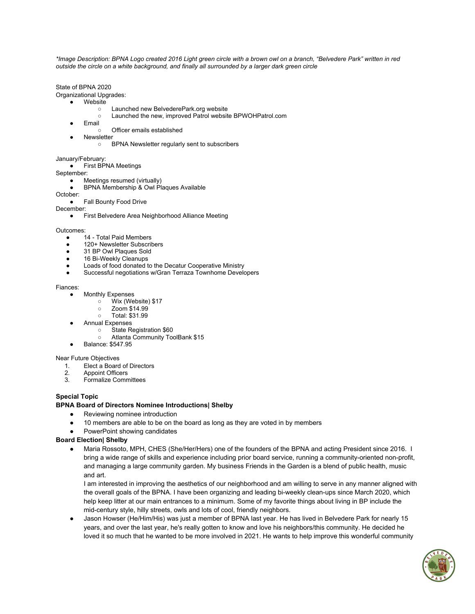\*Image Description: BPNA Logo created 2016 Light green circle with a brown owl on a branch, "Belvedere Park" written in red *outside the circle on a white background, and finally all surrounded by a larger dark green circle*

State of BPNA 2020 Organizational Upgrades:

- **Website** 
	- Launched new BelvederePark.org website
	- Launched the new, improved Patrol website BPWOHPatrol.com
	- Email
		- Officer emails established
	- Newsletter
		- BPNA Newsletter regularly sent to subscribers

# January/February:

● First BPNA Meetings

September:

- Meetings resumed (virtually)
- BPNA Membership & Owl Plaques Available

#### October:

#### **Fall Bounty Food Drive**

December:

● First Belvedere Area Neighborhood Alliance Meeting

#### Outcomes:

- 14 Total Paid Members
- 120+ Newsletter Subscribers
- 31 BP Owl Plaques Sold
- 16 Bi-Weekly Cleanups
- Loads of food donated to the Decatur Cooperative Ministry
- Successful negotiations w/Gran Terraza Townhome Developers

#### Fiances:

- **Monthly Expenses** 
	- Wix (Website) \$17
	- Zoom \$14.99
	- Total: \$31.99
- **Annual Expenses** 
	- State Registration \$60
	- Atlanta Community ToolBank \$15
- Balance: \$547.95

#### Near Future Objectives

- 1. Elect a Board of Directors<br>2. Appoint Officers
- 2. Appoint Officers<br>3 Formalize Comn
- 3. Formalize Committees

# **Special Topic**

# **BPNA Board of Directors Nominee Introductions| Shelby**

- Reviewing nominee introduction
- 10 members are able to be on the board as long as they are voted in by members
- PowerPoint showing candidates

# **Board Election| Shelby**

Maria Rossoto, MPH, CHES (She/Her/Hers) one of the founders of the BPNA and acting President since 2016. I bring a wide range of skills and experience including prior board service, running a community-oriented non-profit, and managing a large community garden. My business Friends in the Garden is a blend of public health, music and art.

I am interested in improving the aesthetics of our neighborhood and am willing to serve in any manner aligned with the overall goals of the BPNA. I have been organizing and leading bi-weekly clean-ups since March 2020, which help keep litter at our main entrances to a minimum. Some of my favorite things about living in BP include the mid-century style, hilly streets, owls and lots of cool, friendly neighbors.

● Jason Howser (He/Him/His) was just a member of BPNA last year. He has lived in Belvedere Park for nearly 15 years, and over the last year, he's really gotten to know and love his neighbors/this community. He decided he loved it so much that he wanted to be more involved in 2021. He wants to help improve this wonderful community